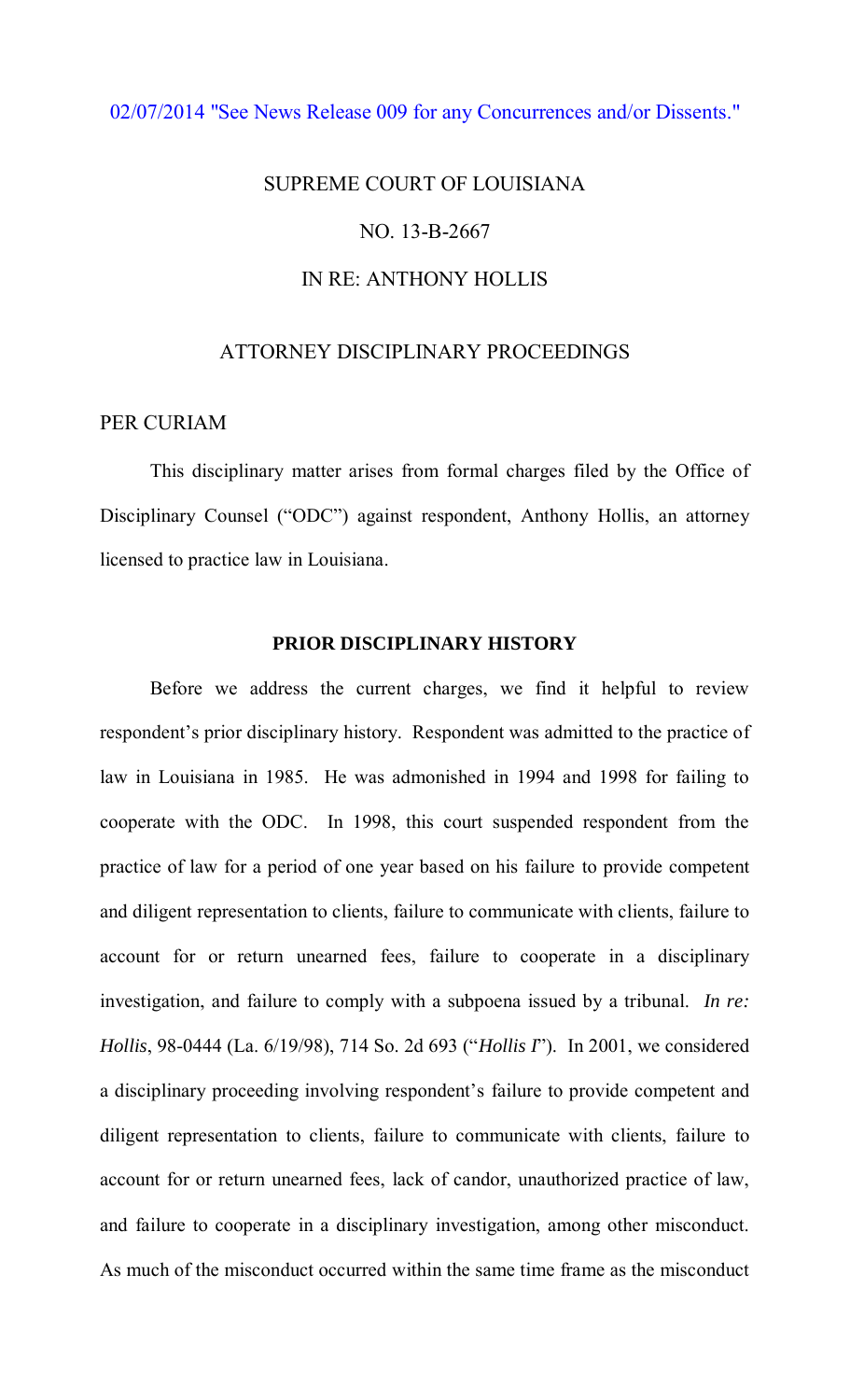# [02/07/2014 "See News Release 009 for any Concurrences and/or Dissents."](http://www.lasc.org/Actions?p=2014-009)

# SUPREME COURT OF LOUISIANA NO. 13-B-2667 IN RE: ANTHONY HOLLIS

# ATTORNEY DISCIPLINARY PROCEEDINGS

# PER CURIAM

 This disciplinary matter arises from formal charges filed by the Office of Disciplinary Counsel ("ODC") against respondent, Anthony Hollis, an attorney licensed to practice law in Louisiana.

# **PRIOR DISCIPLINARY HISTORY**

 Before we address the current charges, we find it helpful to review respondent's prior disciplinary history. Respondent was admitted to the practice of law in Louisiana in 1985. He was admonished in 1994 and 1998 for failing to cooperate with the ODC. In 1998, this court suspended respondent from the practice of law for a period of one year based on his failure to provide competent and diligent representation to clients, failure to communicate with clients, failure to account for or return unearned fees, failure to cooperate in a disciplinary investigation, and failure to comply with a subpoena issued by a tribunal. *In re: Hollis*, 98-0444 (La. 6/19/98), 714 So. 2d 693 ("*Hollis I*"). In 2001, we considered a disciplinary proceeding involving respondent's failure to provide competent and diligent representation to clients, failure to communicate with clients, failure to account for or return unearned fees, lack of candor, unauthorized practice of law, and failure to cooperate in a disciplinary investigation, among other misconduct. As much of the misconduct occurred within the same time frame as the misconduct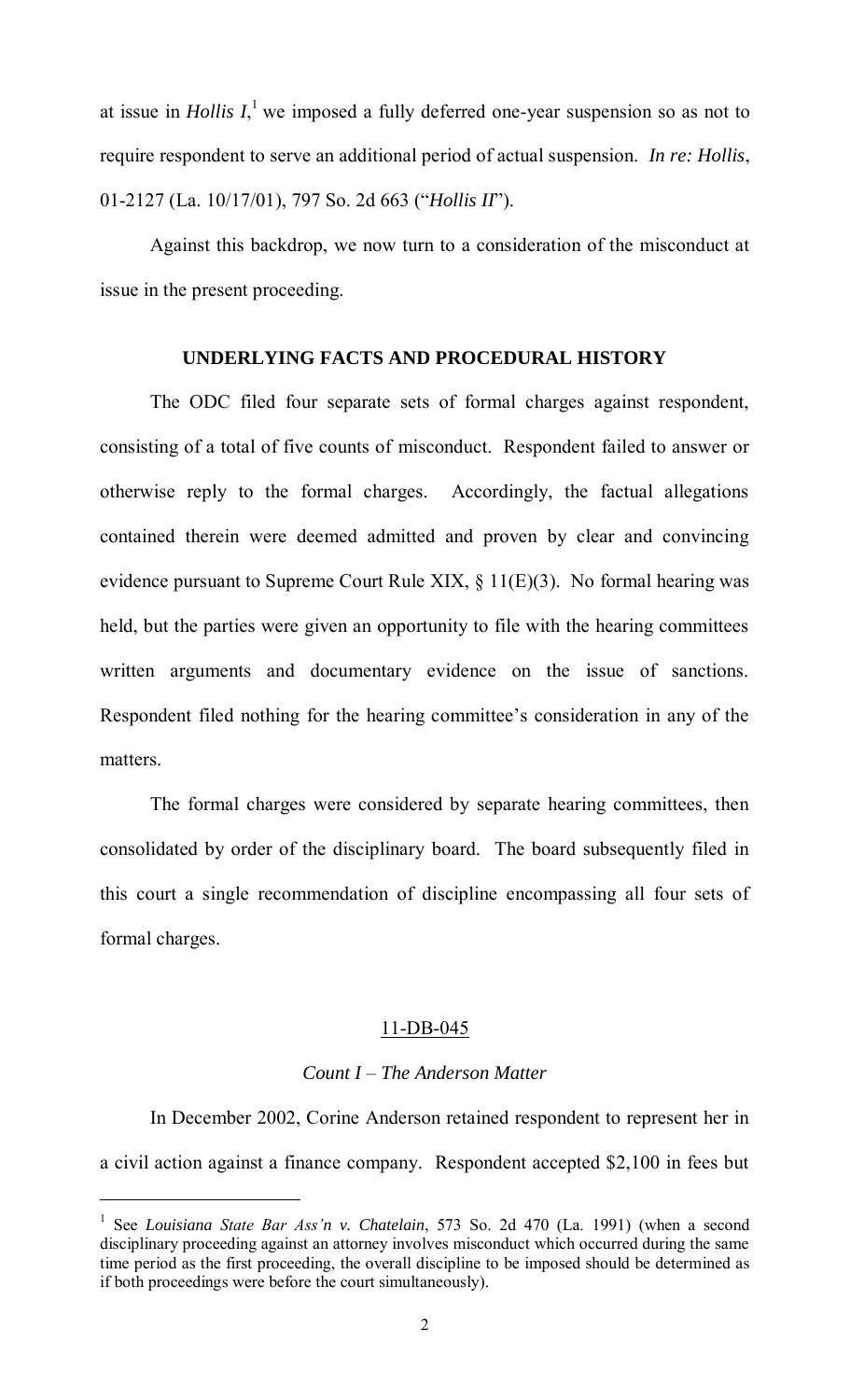at issue in *Hollis I*,<sup>1</sup> we imposed a fully deferred one-year suspension so as not to require respondent to serve an additional period of actual suspension. *In re: Hollis*, 01-2127 (La. 10/17/01), 797 So. 2d 663 ("*Hollis II*").

Against this backdrop, we now turn to a consideration of the misconduct at issue in the present proceeding.

# **UNDERLYING FACTS AND PROCEDURAL HISTORY**

 The ODC filed four separate sets of formal charges against respondent, consisting of a total of five counts of misconduct. Respondent failed to answer or otherwise reply to the formal charges. Accordingly, the factual allegations contained therein were deemed admitted and proven by clear and convincing evidence pursuant to Supreme Court Rule XIX,  $\S$  11(E)(3). No formal hearing was held, but the parties were given an opportunity to file with the hearing committees written arguments and documentary evidence on the issue of sanctions. Respondent filed nothing for the hearing committee's consideration in any of the matters.

 The formal charges were considered by separate hearing committees, then consolidated by order of the disciplinary board. The board subsequently filed in this court a single recommendation of discipline encompassing all four sets of formal charges.

## 11-DB-045

## *Count I – The Anderson Matter*

 In December 2002, Corine Anderson retained respondent to represent her in a civil action against a finance company. Respondent accepted \$2,100 in fees but

 $\overline{a}$ 

<sup>&</sup>lt;sup>1</sup> See *Louisiana State Bar Ass'n v. Chatelain*, 573 So. 2d 470 (La. 1991) (when a second disciplinary proceeding against an attorney involves misconduct which occurred during the same time period as the first proceeding, the overall discipline to be imposed should be determined as if both proceedings were before the court simultaneously).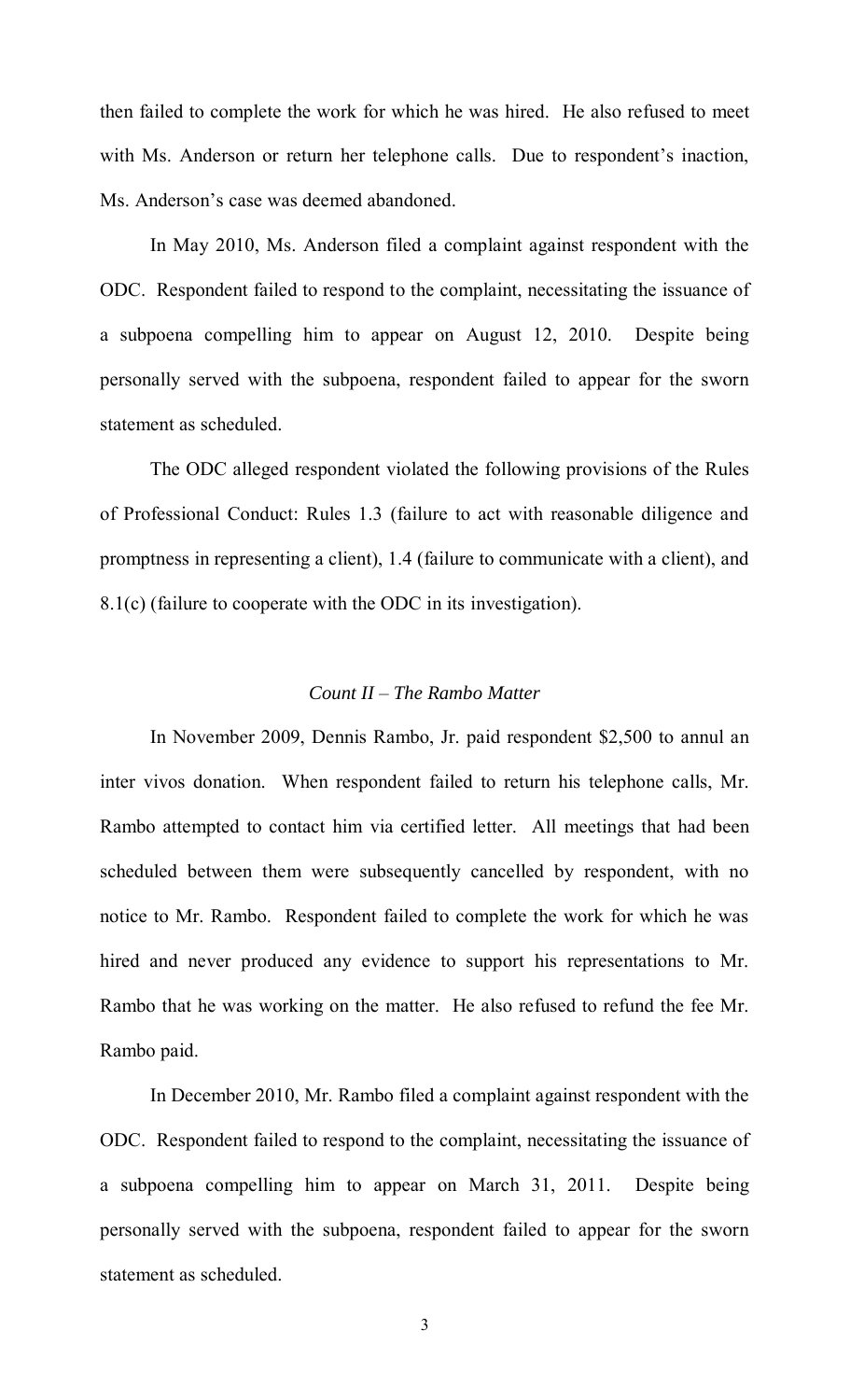then failed to complete the work for which he was hired. He also refused to meet with Ms. Anderson or return her telephone calls. Due to respondent's inaction, Ms. Anderson's case was deemed abandoned.

In May 2010, Ms. Anderson filed a complaint against respondent with the ODC. Respondent failed to respond to the complaint, necessitating the issuance of a subpoena compelling him to appear on August 12, 2010. Despite being personally served with the subpoena, respondent failed to appear for the sworn statement as scheduled.

 The ODC alleged respondent violated the following provisions of the Rules of Professional Conduct: Rules 1.3 (failure to act with reasonable diligence and promptness in representing a client), 1.4 (failure to communicate with a client), and 8.1(c) (failure to cooperate with the ODC in its investigation).

# *Count II – The Rambo Matter*

 In November 2009, Dennis Rambo, Jr. paid respondent \$2,500 to annul an inter vivos donation. When respondent failed to return his telephone calls, Mr. Rambo attempted to contact him via certified letter. All meetings that had been scheduled between them were subsequently cancelled by respondent, with no notice to Mr. Rambo. Respondent failed to complete the work for which he was hired and never produced any evidence to support his representations to Mr. Rambo that he was working on the matter. He also refused to refund the fee Mr. Rambo paid.

In December 2010, Mr. Rambo filed a complaint against respondent with the ODC. Respondent failed to respond to the complaint, necessitating the issuance of a subpoena compelling him to appear on March 31, 2011. Despite being personally served with the subpoena, respondent failed to appear for the sworn statement as scheduled.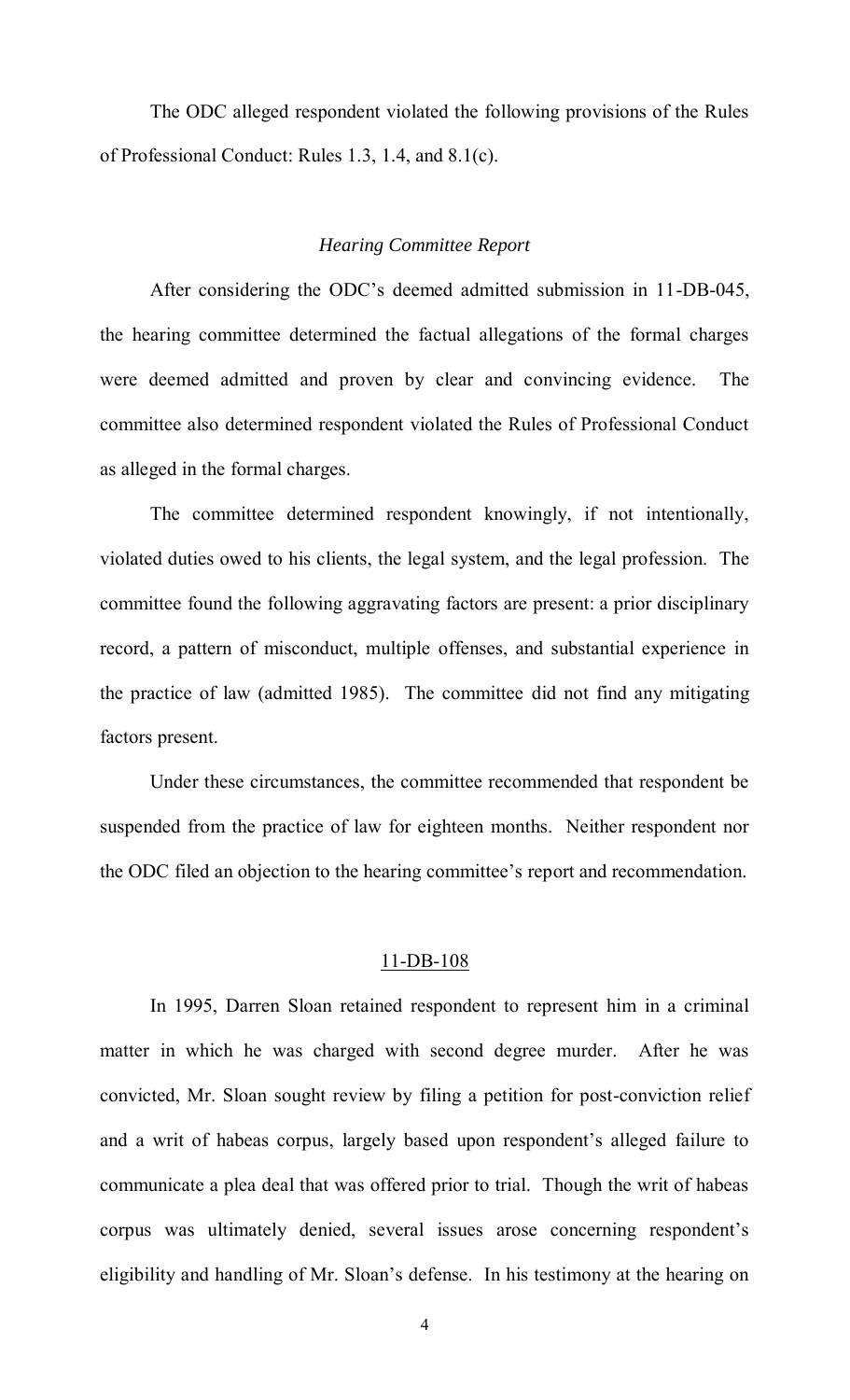The ODC alleged respondent violated the following provisions of the Rules of Professional Conduct: Rules 1.3, 1.4, and 8.1(c).

# *Hearing Committee Report*

 After considering the ODC's deemed admitted submission in 11-DB-045, the hearing committee determined the factual allegations of the formal charges were deemed admitted and proven by clear and convincing evidence. The committee also determined respondent violated the Rules of Professional Conduct as alleged in the formal charges.

 The committee determined respondent knowingly, if not intentionally, violated duties owed to his clients, the legal system, and the legal profession. The committee found the following aggravating factors are present: a prior disciplinary record, a pattern of misconduct, multiple offenses, and substantial experience in the practice of law (admitted 1985). The committee did not find any mitigating factors present.

 Under these circumstances, the committee recommended that respondent be suspended from the practice of law for eighteen months. Neither respondent nor the ODC filed an objection to the hearing committee's report and recommendation.

#### 11-DB-108

 In 1995, Darren Sloan retained respondent to represent him in a criminal matter in which he was charged with second degree murder. After he was convicted, Mr. Sloan sought review by filing a petition for post-conviction relief and a writ of habeas corpus, largely based upon respondent's alleged failure to communicate a plea deal that was offered prior to trial. Though the writ of habeas corpus was ultimately denied, several issues arose concerning respondent's eligibility and handling of Mr. Sloan's defense. In his testimony at the hearing on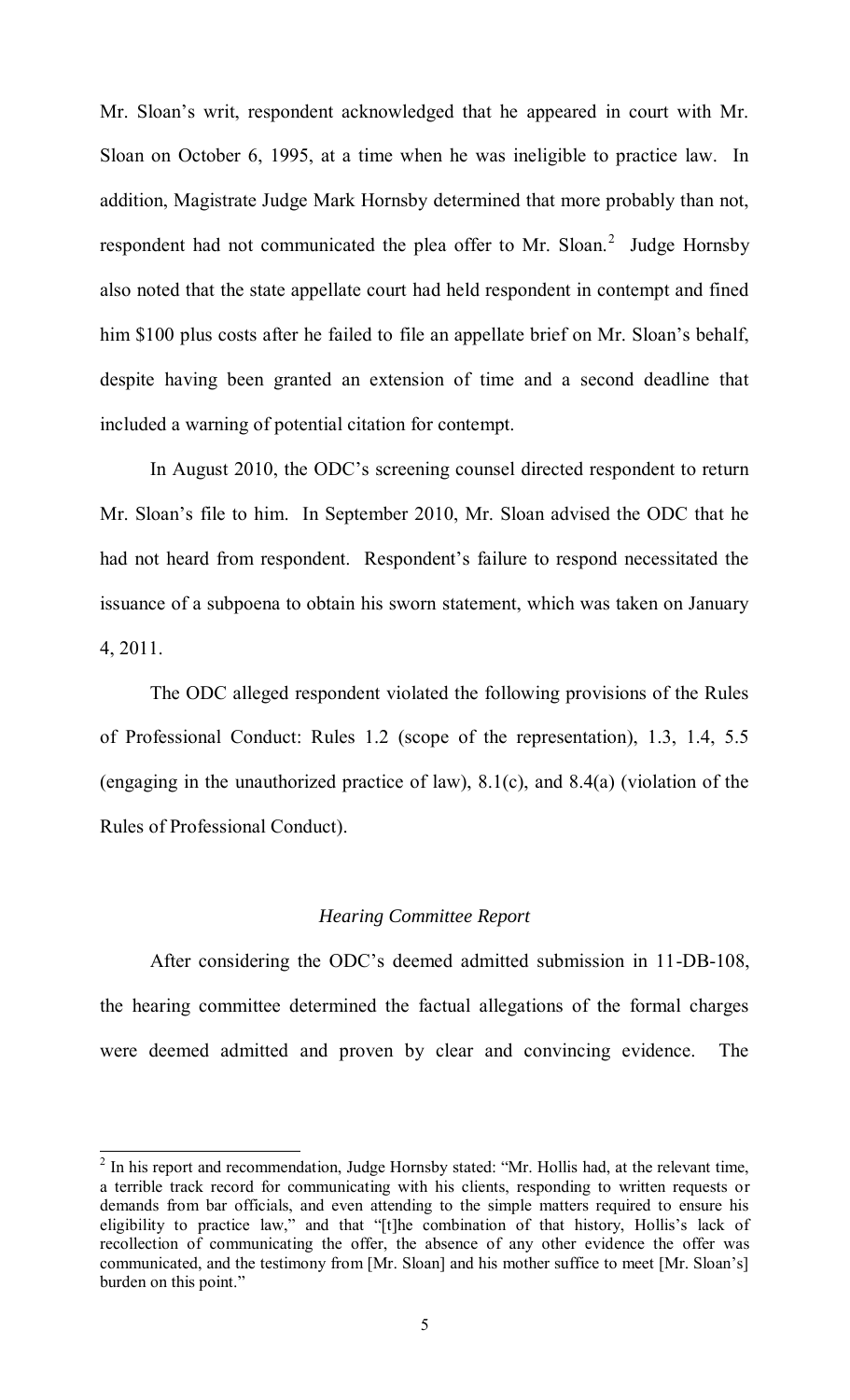Mr. Sloan's writ, respondent acknowledged that he appeared in court with Mr. Sloan on October 6, 1995, at a time when he was ineligible to practice law. In addition, Magistrate Judge Mark Hornsby determined that more probably than not, respondent had not communicated the plea offer to Mr. Sloan. $2$  Judge Hornsby also noted that the state appellate court had held respondent in contempt and fined him \$100 plus costs after he failed to file an appellate brief on Mr. Sloan's behalf, despite having been granted an extension of time and a second deadline that included a warning of potential citation for contempt.

In August 2010, the ODC's screening counsel directed respondent to return Mr. Sloan's file to him. In September 2010, Mr. Sloan advised the ODC that he had not heard from respondent. Respondent's failure to respond necessitated the issuance of a subpoena to obtain his sworn statement, which was taken on January 4, 2011.

The ODC alleged respondent violated the following provisions of the Rules of Professional Conduct: Rules 1.2 (scope of the representation), 1.3, 1.4, 5.5 (engaging in the unauthorized practice of law), 8.1(c), and 8.4(a) (violation of the Rules of Professional Conduct).

# *Hearing Committee Report*

 After considering the ODC's deemed admitted submission in 11-DB-108, the hearing committee determined the factual allegations of the formal charges were deemed admitted and proven by clear and convincing evidence. The

<sup>&</sup>lt;sup>2</sup> In his report and recommendation, Judge Hornsby stated: "Mr. Hollis had, at the relevant time, a terrible track record for communicating with his clients, responding to written requests or demands from bar officials, and even attending to the simple matters required to ensure his eligibility to practice law," and that "[t]he combination of that history, Hollis's lack of recollection of communicating the offer, the absence of any other evidence the offer was communicated, and the testimony from [Mr. Sloan] and his mother suffice to meet [Mr. Sloan's] burden on this point."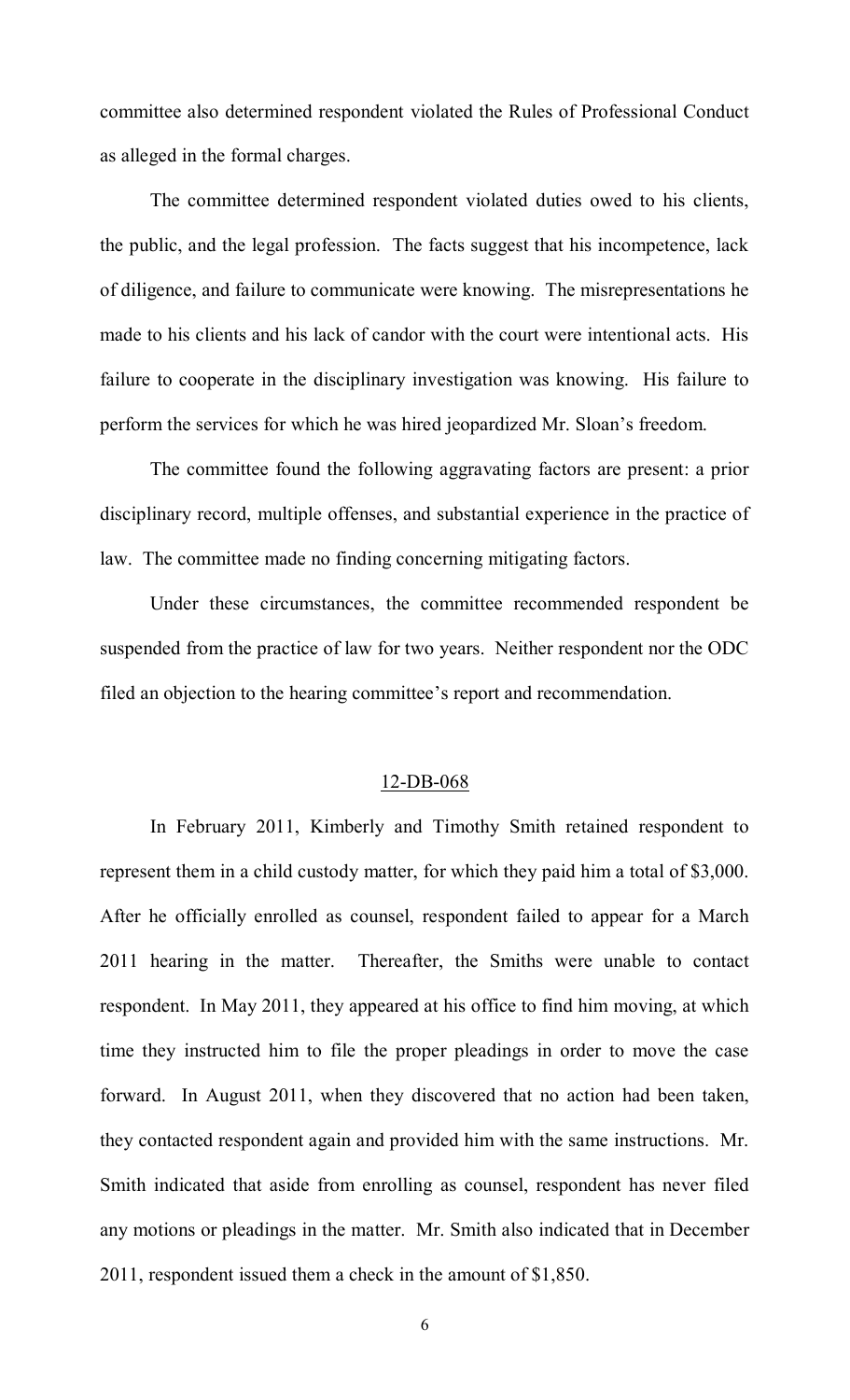committee also determined respondent violated the Rules of Professional Conduct as alleged in the formal charges.

 The committee determined respondent violated duties owed to his clients, the public, and the legal profession. The facts suggest that his incompetence, lack of diligence, and failure to communicate were knowing. The misrepresentations he made to his clients and his lack of candor with the court were intentional acts. His failure to cooperate in the disciplinary investigation was knowing. His failure to perform the services for which he was hired jeopardized Mr. Sloan's freedom.

The committee found the following aggravating factors are present: a prior disciplinary record, multiple offenses, and substantial experience in the practice of law. The committee made no finding concerning mitigating factors.

Under these circumstances, the committee recommended respondent be suspended from the practice of law for two years. Neither respondent nor the ODC filed an objection to the hearing committee's report and recommendation.

## 12-DB-068

 In February 2011, Kimberly and Timothy Smith retained respondent to represent them in a child custody matter, for which they paid him a total of \$3,000. After he officially enrolled as counsel, respondent failed to appear for a March 2011 hearing in the matter. Thereafter, the Smiths were unable to contact respondent. In May 2011, they appeared at his office to find him moving, at which time they instructed him to file the proper pleadings in order to move the case forward. In August 2011, when they discovered that no action had been taken, they contacted respondent again and provided him with the same instructions. Mr. Smith indicated that aside from enrolling as counsel, respondent has never filed any motions or pleadings in the matter. Mr. Smith also indicated that in December 2011, respondent issued them a check in the amount of \$1,850.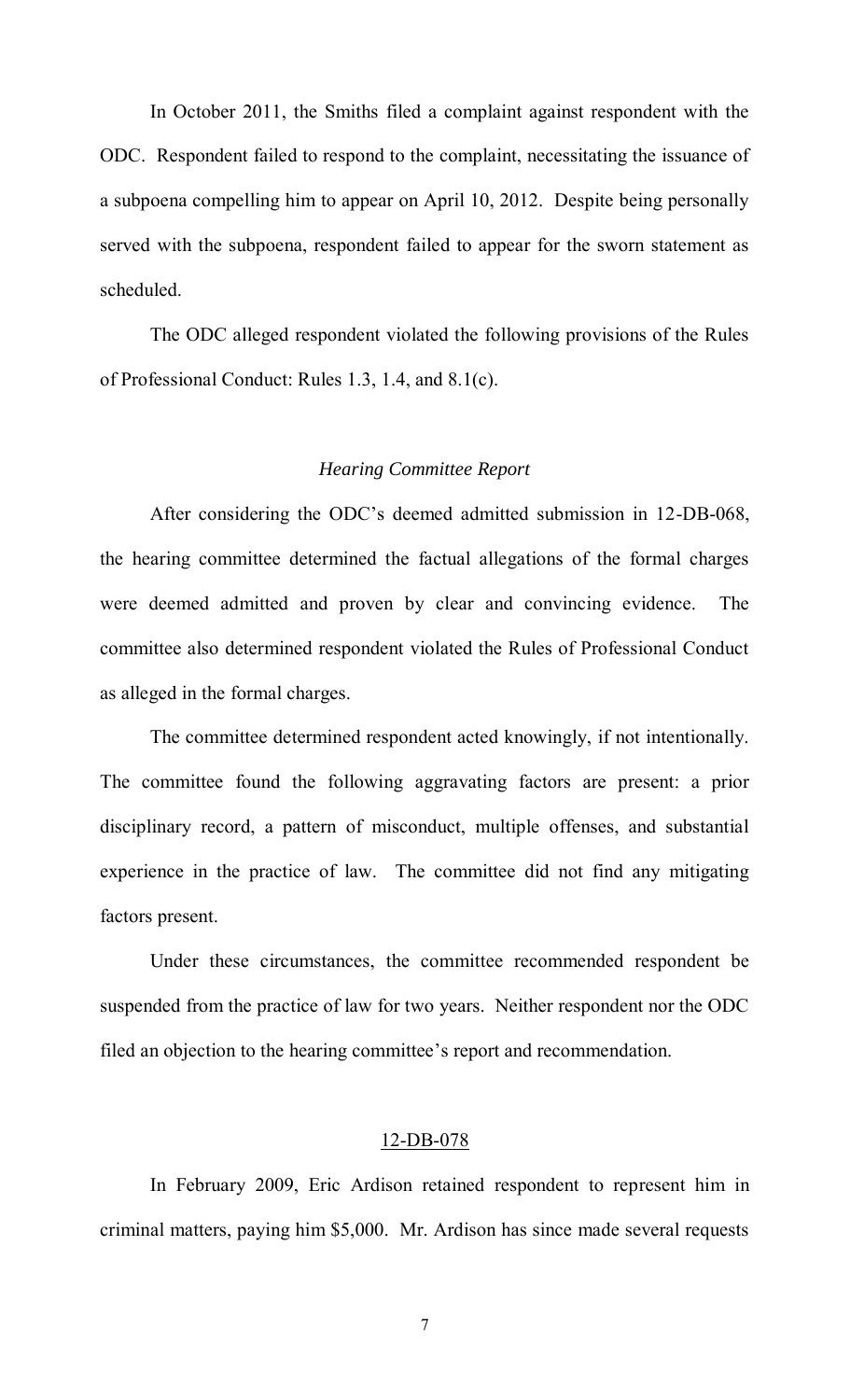In October 2011, the Smiths filed a complaint against respondent with the ODC. Respondent failed to respond to the complaint, necessitating the issuance of a subpoena compelling him to appear on April 10, 2012. Despite being personally served with the subpoena, respondent failed to appear for the sworn statement as scheduled.

The ODC alleged respondent violated the following provisions of the Rules of Professional Conduct: Rules 1.3, 1.4, and 8.1(c).

# *Hearing Committee Report*

 After considering the ODC's deemed admitted submission in 12-DB-068, the hearing committee determined the factual allegations of the formal charges were deemed admitted and proven by clear and convincing evidence. The committee also determined respondent violated the Rules of Professional Conduct as alleged in the formal charges.

 The committee determined respondent acted knowingly, if not intentionally. The committee found the following aggravating factors are present: a prior disciplinary record, a pattern of misconduct, multiple offenses, and substantial experience in the practice of law. The committee did not find any mitigating factors present.

Under these circumstances, the committee recommended respondent be suspended from the practice of law for two years. Neither respondent nor the ODC filed an objection to the hearing committee's report and recommendation.

# 12-DB-078

In February 2009, Eric Ardison retained respondent to represent him in criminal matters, paying him \$5,000. Mr. Ardison has since made several requests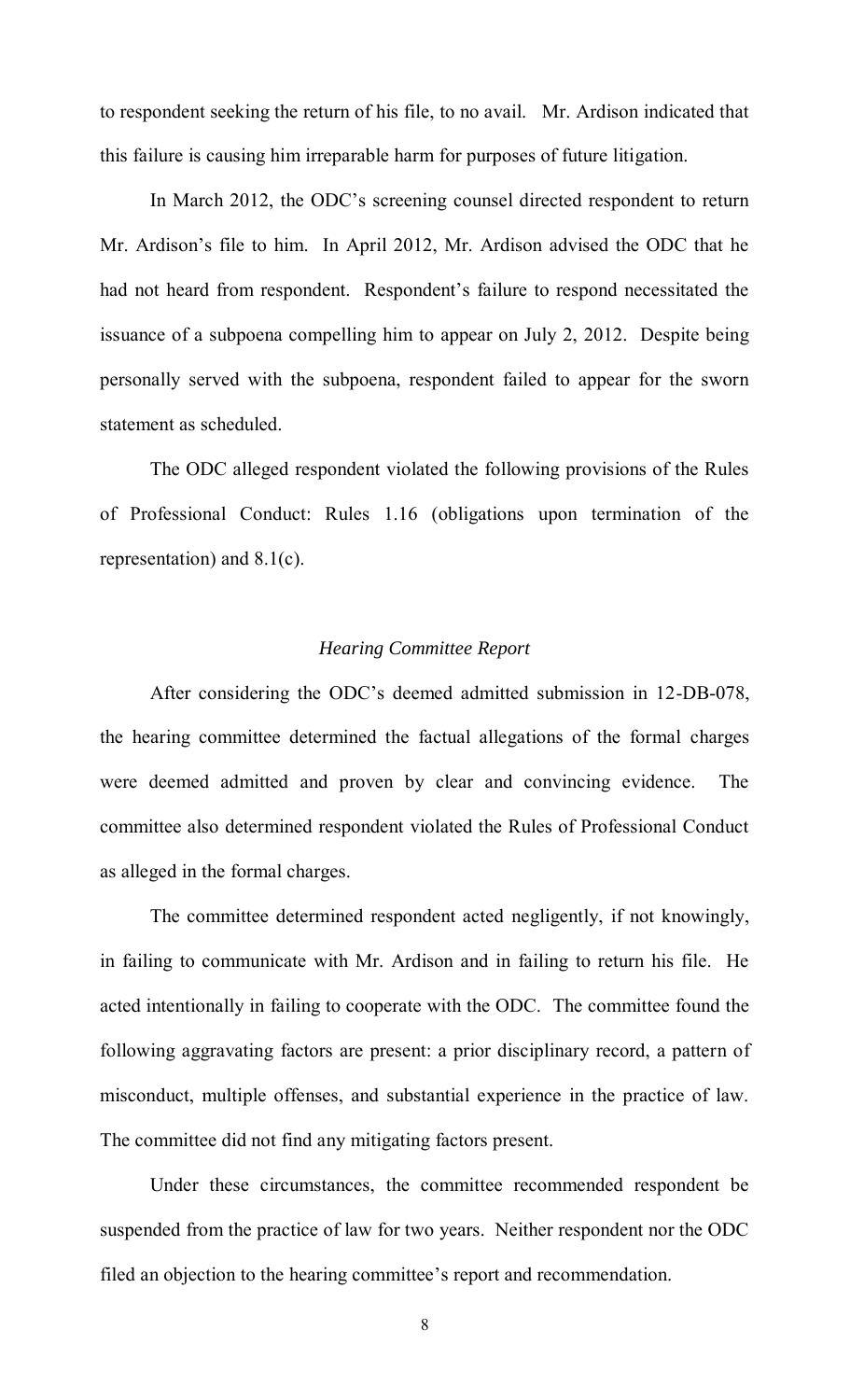to respondent seeking the return of his file, to no avail. Mr. Ardison indicated that this failure is causing him irreparable harm for purposes of future litigation.

In March 2012, the ODC's screening counsel directed respondent to return Mr. Ardison's file to him. In April 2012, Mr. Ardison advised the ODC that he had not heard from respondent. Respondent's failure to respond necessitated the issuance of a subpoena compelling him to appear on July 2, 2012. Despite being personally served with the subpoena, respondent failed to appear for the sworn statement as scheduled.

The ODC alleged respondent violated the following provisions of the Rules of Professional Conduct: Rules 1.16 (obligations upon termination of the representation) and 8.1(c).

# *Hearing Committee Report*

 After considering the ODC's deemed admitted submission in 12-DB-078, the hearing committee determined the factual allegations of the formal charges were deemed admitted and proven by clear and convincing evidence. The committee also determined respondent violated the Rules of Professional Conduct as alleged in the formal charges.

 The committee determined respondent acted negligently, if not knowingly, in failing to communicate with Mr. Ardison and in failing to return his file. He acted intentionally in failing to cooperate with the ODC. The committee found the following aggravating factors are present: a prior disciplinary record, a pattern of misconduct, multiple offenses, and substantial experience in the practice of law. The committee did not find any mitigating factors present.

Under these circumstances, the committee recommended respondent be suspended from the practice of law for two years. Neither respondent nor the ODC filed an objection to the hearing committee's report and recommendation.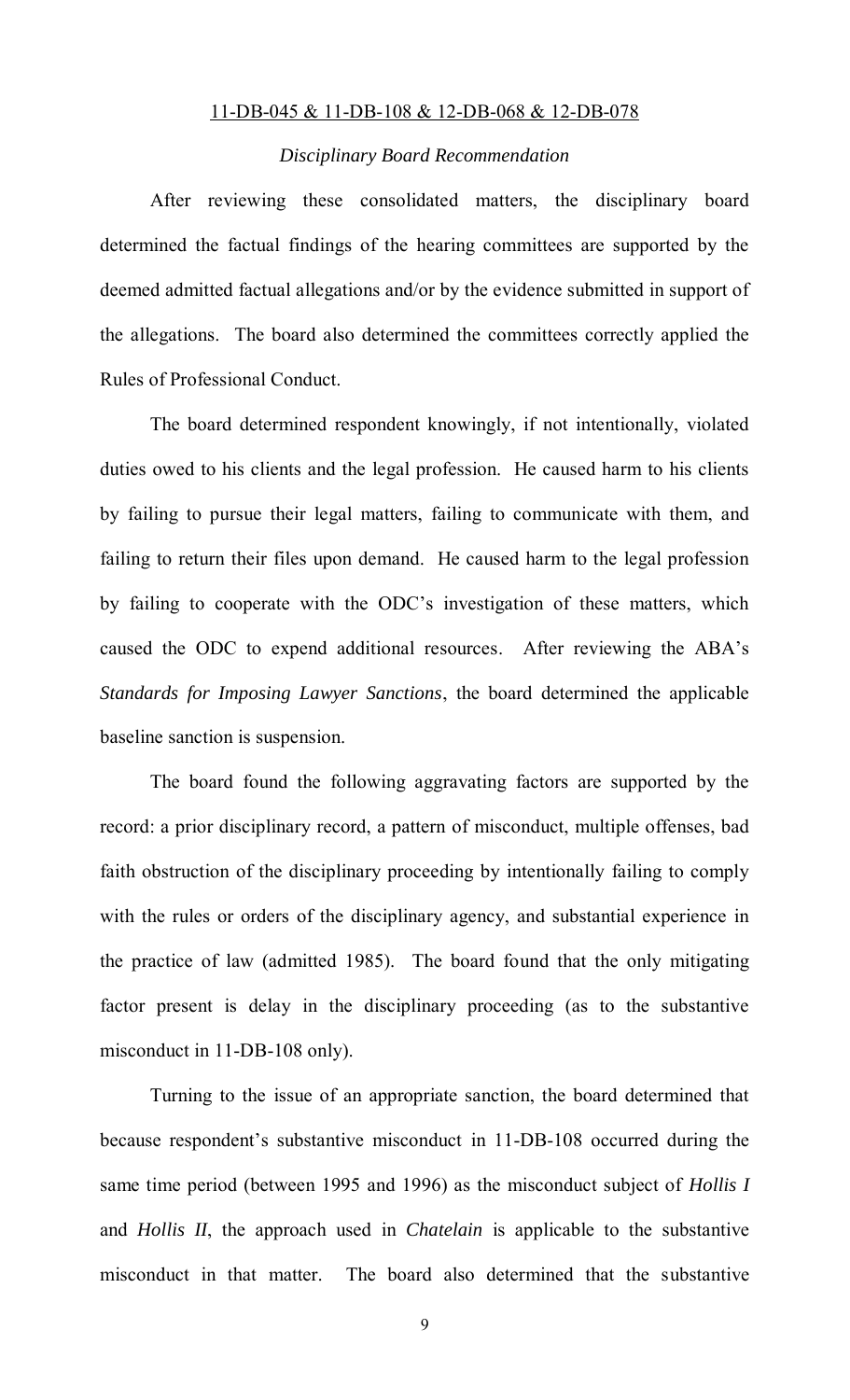## 11-DB-045 & 11-DB-108 & 12-DB-068 & 12-DB-078

# *Disciplinary Board Recommendation*

 After reviewing these consolidated matters, the disciplinary board determined the factual findings of the hearing committees are supported by the deemed admitted factual allegations and/or by the evidence submitted in support of the allegations. The board also determined the committees correctly applied the Rules of Professional Conduct.

 The board determined respondent knowingly, if not intentionally, violated duties owed to his clients and the legal profession. He caused harm to his clients by failing to pursue their legal matters, failing to communicate with them, and failing to return their files upon demand. He caused harm to the legal profession by failing to cooperate with the ODC's investigation of these matters, which caused the ODC to expend additional resources. After reviewing the ABA's *Standards for Imposing Lawyer Sanctions*, the board determined the applicable baseline sanction is suspension.

The board found the following aggravating factors are supported by the record: a prior disciplinary record, a pattern of misconduct, multiple offenses, bad faith obstruction of the disciplinary proceeding by intentionally failing to comply with the rules or orders of the disciplinary agency, and substantial experience in the practice of law (admitted 1985). The board found that the only mitigating factor present is delay in the disciplinary proceeding (as to the substantive misconduct in 11-DB-108 only).

Turning to the issue of an appropriate sanction, the board determined that because respondent's substantive misconduct in 11-DB-108 occurred during the same time period (between 1995 and 1996) as the misconduct subject of *Hollis I* and *Hollis II*, the approach used in *Chatelain* is applicable to the substantive misconduct in that matter. The board also determined that the substantive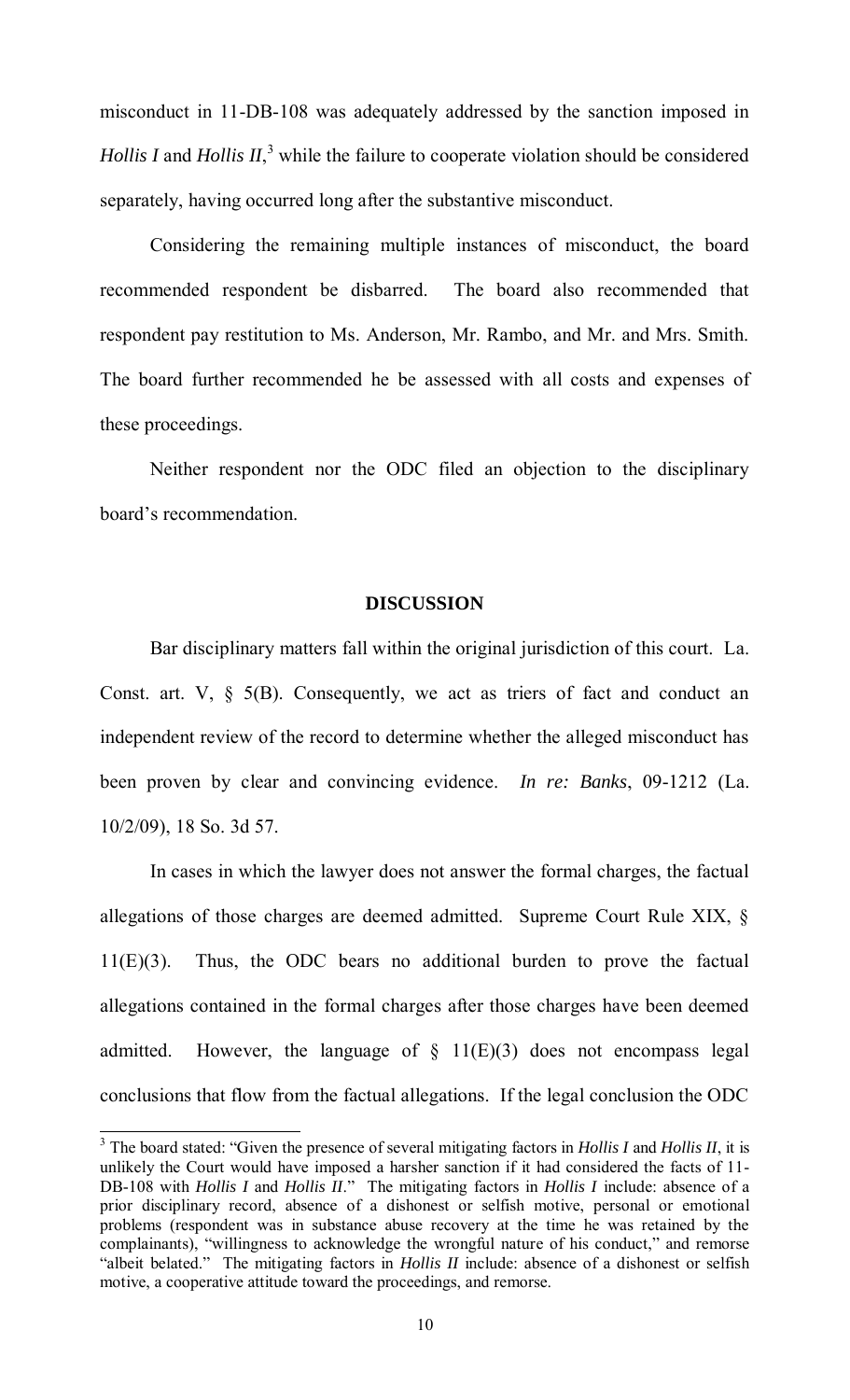misconduct in 11-DB-108 was adequately addressed by the sanction imposed in *Hollis I* and *Hollis II*,<sup>3</sup> while the failure to cooperate violation should be considered separately, having occurred long after the substantive misconduct.

Considering the remaining multiple instances of misconduct, the board recommended respondent be disbarred. The board also recommended that respondent pay restitution to Ms. Anderson, Mr. Rambo, and Mr. and Mrs. Smith. The board further recommended he be assessed with all costs and expenses of these proceedings.

 Neither respondent nor the ODC filed an objection to the disciplinary board's recommendation.

# **DISCUSSION**

Bar disciplinary matters fall within the original jurisdiction of this court. La. Const. art.  $V$ ,  $\S$  5(B). Consequently, we act as triers of fact and conduct an independent review of the record to determine whether the alleged misconduct has been proven by clear and convincing evidence. *In re: Banks*, 09-1212 (La. 10/2/09), 18 So. 3d 57.

In cases in which the lawyer does not answer the formal charges, the factual allegations of those charges are deemed admitted. Supreme Court Rule XIX, § 11(E)(3). Thus, the ODC bears no additional burden to prove the factual allegations contained in the formal charges after those charges have been deemed admitted. However, the language of  $\S$  11(E)(3) does not encompass legal conclusions that flow from the factual allegations. If the legal conclusion the ODC

<sup>&</sup>lt;sup>3</sup> The board stated: "Given the presence of several mitigating factors in *Hollis I* and *Hollis II*, it is unlikely the Court would have imposed a harsher sanction if it had considered the facts of 11- DB-108 with *Hollis I* and *Hollis II*." The mitigating factors in *Hollis I* include: absence of a prior disciplinary record, absence of a dishonest or selfish motive, personal or emotional problems (respondent was in substance abuse recovery at the time he was retained by the complainants), "willingness to acknowledge the wrongful nature of his conduct," and remorse "albeit belated." The mitigating factors in *Hollis II* include: absence of a dishonest or selfish motive, a cooperative attitude toward the proceedings, and remorse.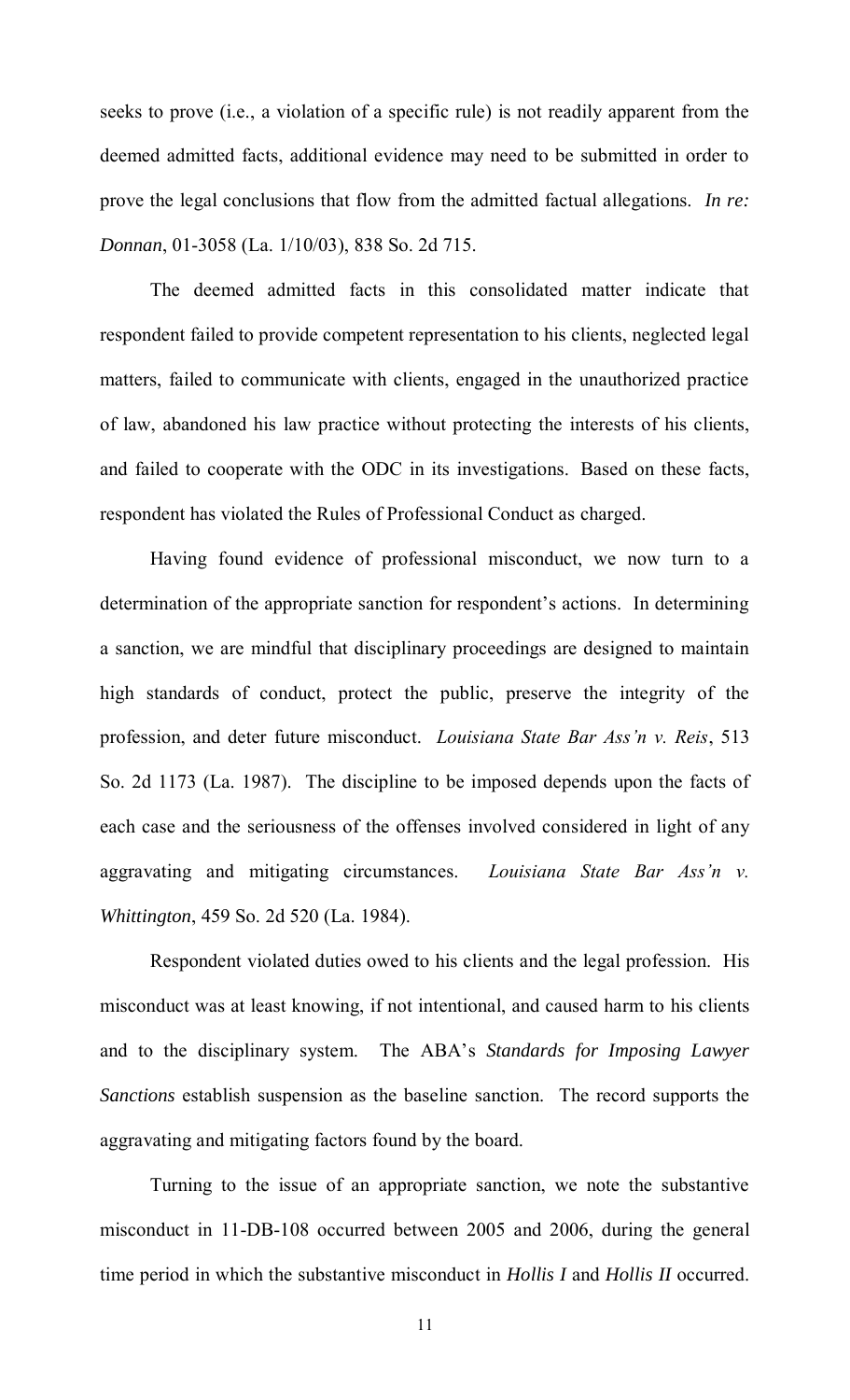seeks to prove (i.e., a violation of a specific rule) is not readily apparent from the deemed admitted facts, additional evidence may need to be submitted in order to prove the legal conclusions that flow from the admitted factual allegations. *In re: Donnan*, 01-3058 (La. 1/10/03), 838 So. 2d 715.

The deemed admitted facts in this consolidated matter indicate that respondent failed to provide competent representation to his clients, neglected legal matters, failed to communicate with clients, engaged in the unauthorized practice of law, abandoned his law practice without protecting the interests of his clients, and failed to cooperate with the ODC in its investigations. Based on these facts, respondent has violated the Rules of Professional Conduct as charged.

Having found evidence of professional misconduct, we now turn to a determination of the appropriate sanction for respondent's actions. In determining a sanction, we are mindful that disciplinary proceedings are designed to maintain high standards of conduct, protect the public, preserve the integrity of the profession, and deter future misconduct. *Louisiana State Bar Ass'n v. Reis*, 513 So. 2d 1173 (La. 1987). The discipline to be imposed depends upon the facts of each case and the seriousness of the offenses involved considered in light of any aggravating and mitigating circumstances. *Louisiana State Bar Ass'n v. Whittington*, 459 So. 2d 520 (La. 1984).

Respondent violated duties owed to his clients and the legal profession. His misconduct was at least knowing, if not intentional, and caused harm to his clients and to the disciplinary system. The ABA's *Standards for Imposing Lawyer Sanctions* establish suspension as the baseline sanction. The record supports the aggravating and mitigating factors found by the board.

Turning to the issue of an appropriate sanction, we note the substantive misconduct in 11-DB-108 occurred between 2005 and 2006, during the general time period in which the substantive misconduct in *Hollis I* and *Hollis II* occurred.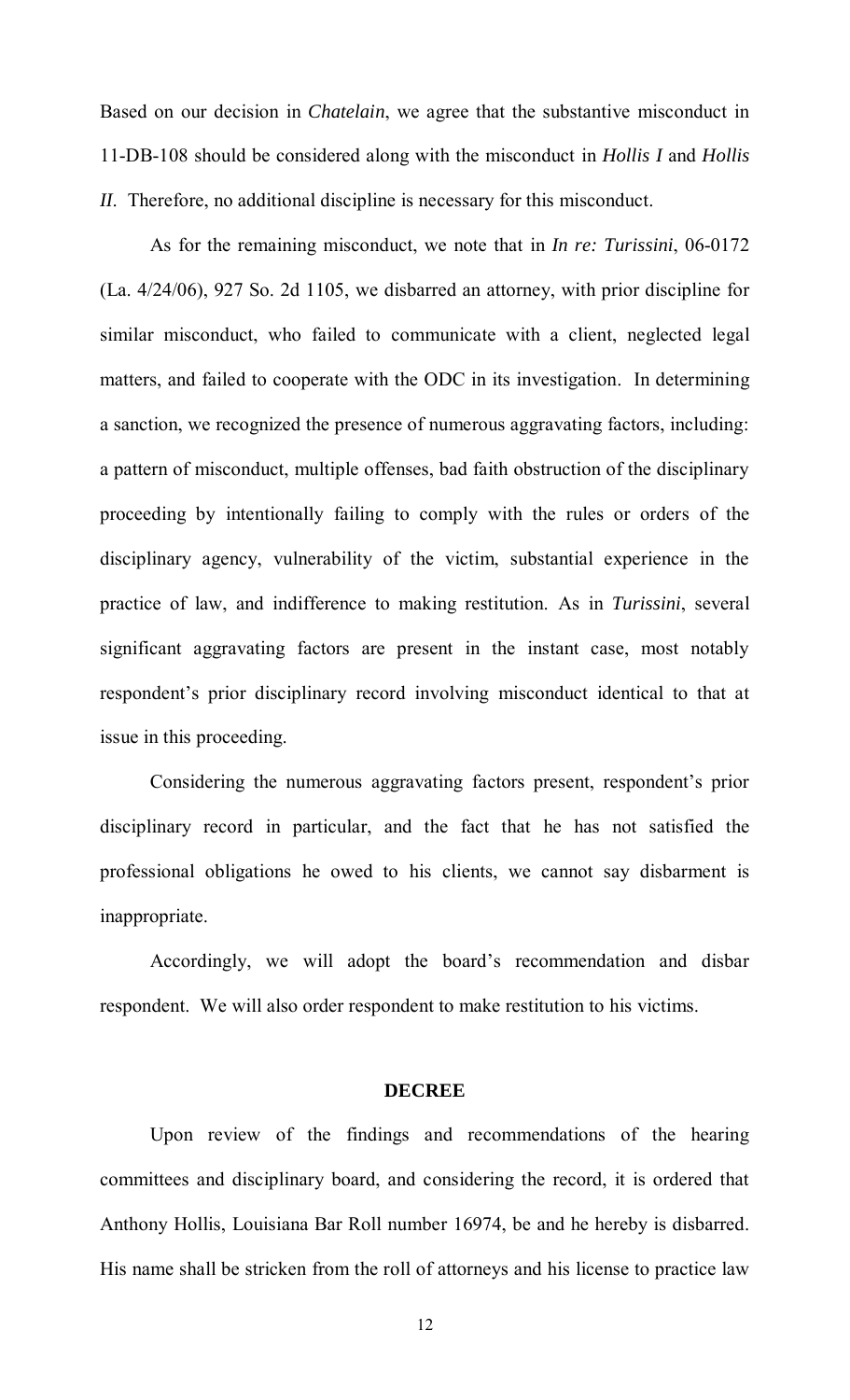Based on our decision in *Chatelain*, we agree that the substantive misconduct in 11-DB-108 should be considered along with the misconduct in *Hollis I* and *Hollis II*. Therefore, no additional discipline is necessary for this misconduct.

As for the remaining misconduct, we note that in *In re: Turissini*, 06-0172 (La. 4/24/06), 927 So. 2d 1105, we disbarred an attorney, with prior discipline for similar misconduct, who failed to communicate with a client, neglected legal matters, and failed to cooperate with the ODC in its investigation. In determining a sanction, we recognized the presence of numerous aggravating factors, including: a pattern of misconduct, multiple offenses, bad faith obstruction of the disciplinary proceeding by intentionally failing to comply with the rules or orders of the disciplinary agency, vulnerability of the victim, substantial experience in the practice of law, and indifference to making restitution. As in *Turissini*, several significant aggravating factors are present in the instant case, most notably respondent's prior disciplinary record involving misconduct identical to that at issue in this proceeding.

Considering the numerous aggravating factors present, respondent's prior disciplinary record in particular, and the fact that he has not satisfied the professional obligations he owed to his clients, we cannot say disbarment is inappropriate.

 Accordingly, we will adopt the board's recommendation and disbar respondent. We will also order respondent to make restitution to his victims.

## **DECREE**

 Upon review of the findings and recommendations of the hearing committees and disciplinary board, and considering the record, it is ordered that Anthony Hollis, Louisiana Bar Roll number 16974, be and he hereby is disbarred. His name shall be stricken from the roll of attorneys and his license to practice law